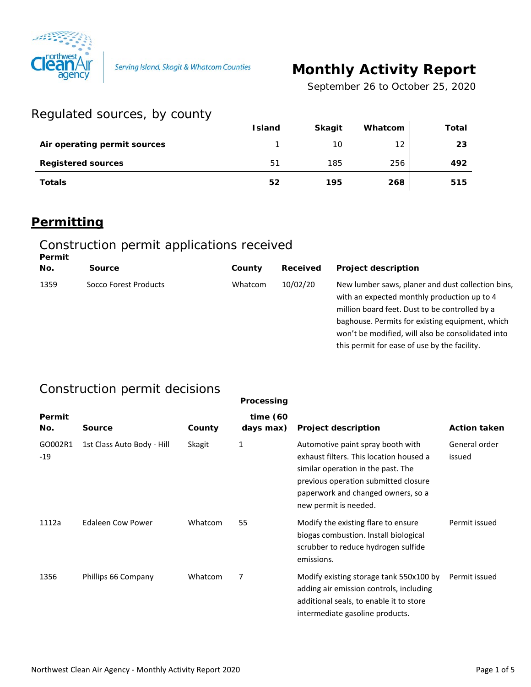

Serving Island, Skagit & Whatcom Counties

# **Monthly Activity Report**

*September 26 to October 25, 2020*

### Regulated sources, by county

|                              | <b>Island</b> | <b>Skagit</b> | Whatcom | Total |
|------------------------------|---------------|---------------|---------|-------|
| Air operating permit sources |               | 10            | 12      | 23    |
| <b>Registered sources</b>    | 51            | 185           | 256     | 492   |
| <b>Totals</b>                | 52            | 195           | 268     | 515   |

### **Permitting**

#### Construction permit applications received **Permit**

| No.<br><b>Project description</b><br>Received<br><b>Source</b><br>County<br>10/02/20<br>1359<br>Socco Forest Products<br>Whatcom<br>million board feet. Dust to be controlled by a | . |  |                                                                                                                                                                                                          |
|------------------------------------------------------------------------------------------------------------------------------------------------------------------------------------|---|--|----------------------------------------------------------------------------------------------------------------------------------------------------------------------------------------------------------|
|                                                                                                                                                                                    |   |  |                                                                                                                                                                                                          |
| this permit for ease of use by the facility.                                                                                                                                       |   |  | New lumber saws, planer and dust collection bins,<br>with an expected monthly production up to 4<br>baghouse. Permits for existing equipment, which<br>won't be modified, will also be consolidated into |

### Construction permit decisions

|                |                            |         | Processing            |                                                                                                                                                                                                                           |                         |
|----------------|----------------------------|---------|-----------------------|---------------------------------------------------------------------------------------------------------------------------------------------------------------------------------------------------------------------------|-------------------------|
| Permit<br>No.  | Source                     | County  | time(60)<br>days max) | <b>Project description</b>                                                                                                                                                                                                | <b>Action taken</b>     |
| GO002R1<br>-19 | 1st Class Auto Body - Hill | Skagit  | 1                     | Automotive paint spray booth with<br>exhaust filters. This location housed a<br>similar operation in the past. The<br>previous operation submitted closure<br>paperwork and changed owners, so a<br>new permit is needed. | General order<br>issued |
| 1112a          | Edaleen Cow Power          | Whatcom | 55                    | Modify the existing flare to ensure<br>biogas combustion. Install biological<br>scrubber to reduce hydrogen sulfide<br>emissions.                                                                                         | Permit issued           |
| 1356           | Phillips 66 Company        | Whatcom | 7                     | Modify existing storage tank 550x100 by<br>adding air emission controls, including<br>additional seals, to enable it to store<br>intermediate gasoline products.                                                          | Permit issued           |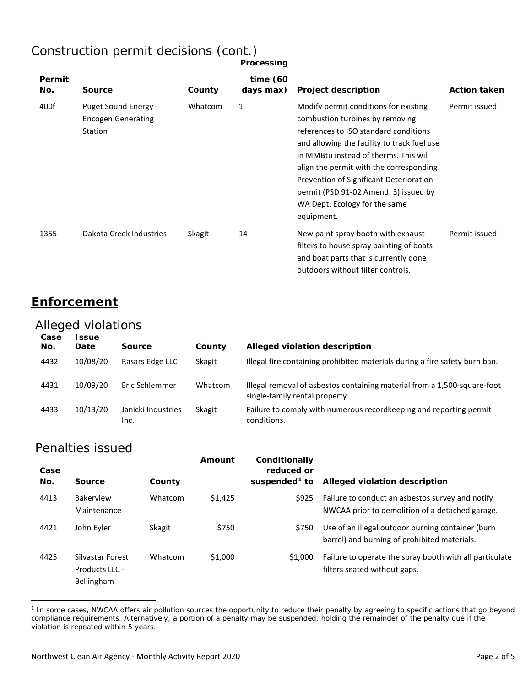## Construction permit decisions (cont.)

|               |                                                              |         | Processing               |                                                                                                                                                                                                                                                                                                                                                                                         |                     |
|---------------|--------------------------------------------------------------|---------|--------------------------|-----------------------------------------------------------------------------------------------------------------------------------------------------------------------------------------------------------------------------------------------------------------------------------------------------------------------------------------------------------------------------------------|---------------------|
| Permit<br>No. | <b>Source</b>                                                | County  | time $(60)$<br>days max) | <b>Project description</b>                                                                                                                                                                                                                                                                                                                                                              | <b>Action taken</b> |
| 400f          | Puget Sound Energy -<br><b>Encogen Generating</b><br>Station | Whatcom | 1                        | Modify permit conditions for existing<br>combustion turbines by removing<br>references to ISO standard conditions<br>and allowing the facility to track fuel use<br>in MMBtu instead of therms. This will<br>align the permit with the corresponding<br>Prevention of Significant Deterioration<br>permit (PSD 91-02 Amend. 3) issued by<br>WA Dept. Ecology for the same<br>equipment. | Permit issued       |
| 1355          | Dakota Creek Industries                                      | Skagit  | 14                       | New paint spray booth with exhaust<br>filters to house spray painting of boats<br>and boat parts that is currently done<br>outdoors without filter controls.                                                                                                                                                                                                                            | Permit issued       |

#### **Enforcement**

#### Alleged violations

| Case<br>No. | <b>Ssue</b><br><b>Date</b> | <b>Source</b>              | County  | Alleged violation description                                                                              |
|-------------|----------------------------|----------------------------|---------|------------------------------------------------------------------------------------------------------------|
| 4432        | 10/08/20                   | Rasars Edge LLC            | Skagit  | Illegal fire containing prohibited materials during a fire safety burn ban.                                |
| 4431        | 10/09/20                   | Eric Schlemmer             | Whatcom | Illegal removal of asbestos containing material from a 1,500-square-foot<br>single-family rental property. |
| 4433        | 10/13/20                   | Janicki Industries<br>Inc. | Skagit  | Failure to comply with numerous record keeping and reporting permit<br>conditions.                         |

#### Penalties issued

 $\overline{a}$ 

| Case<br>No. | Source                                                  | County  | Amount  | Conditionally<br>reduced or<br>suspended <sup>1</sup> to | Alleged violation description                                                                       |
|-------------|---------------------------------------------------------|---------|---------|----------------------------------------------------------|-----------------------------------------------------------------------------------------------------|
| 4413        | <b>Bakerview</b><br>Maintenance                         | Whatcom | \$1,425 | \$925                                                    | Failure to conduct an asbestos survey and notify<br>NWCAA prior to demolition of a detached garage. |
| 4421        | John Eyler                                              | Skagit  | \$750   | \$750                                                    | Use of an illegal outdoor burning container (burn<br>barrel) and burning of prohibited materials.   |
| 4425        | Silvastar Forest<br>Products LLC -<br><b>Bellingham</b> | Whatcom | \$1,000 | \$1,000                                                  | Failure to operate the spray booth with all particulate<br>filters seated without gaps.             |

<span id="page-1-0"></span><sup>&</sup>lt;sup>1</sup> In some cases, NWCAA offers air pollution sources the opportunity to reduce their penalty by agreeing to specific actions that go beyond compliance requirements. Alternatively, a portion of a penalty may be suspended, holding the remainder of the penalty due if the violation is repeated within 5 years.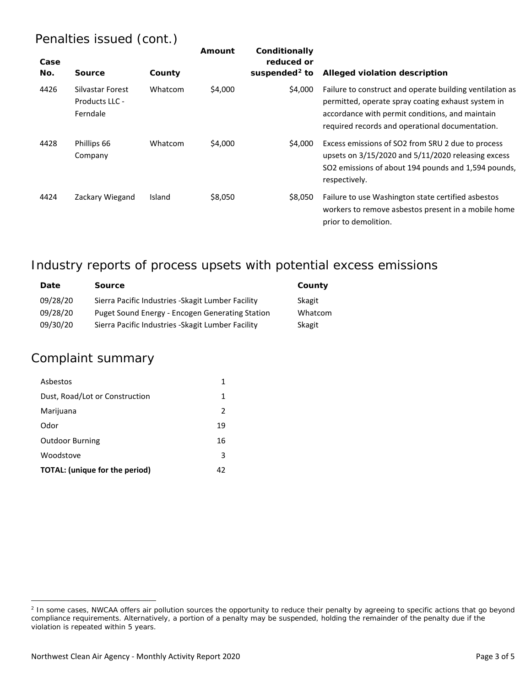### Penalties issued (cont.)

| Case<br>No. | <b>Source</b>                                  | County  | Amount  | Conditionally<br>reduced or<br>suspended <sup>2</sup> to | Alleged violation description                                                                                                                                                                                        |
|-------------|------------------------------------------------|---------|---------|----------------------------------------------------------|----------------------------------------------------------------------------------------------------------------------------------------------------------------------------------------------------------------------|
| 4426        | Silvastar Forest<br>Products LLC -<br>Ferndale | Whatcom | \$4,000 | \$4,000                                                  | Failure to construct and operate building ventilation as<br>permitted, operate spray coating exhaust system in<br>accordance with permit conditions, and maintain<br>required records and operational documentation. |
| 4428        | Phillips 66<br>Company                         | Whatcom | \$4,000 | \$4.000                                                  | Excess emissions of SO2 from SRU 2 due to process<br>upsets on 3/15/2020 and 5/11/2020 releasing excess<br>SO2 emissions of about 194 pounds and 1,594 pounds,<br>respectively.                                      |
| 4424        | Zackary Wiegand                                | Island  | \$8,050 | \$8.050                                                  | Failure to use Washington state certified asbestos<br>workers to remove asbestos present in a mobile home<br>prior to demolition.                                                                                    |

### Industry reports of process upsets with potential excess emissions

| Date     | <b>Source</b>                                      | County  |
|----------|----------------------------------------------------|---------|
| 09/28/20 | Sierra Pacific Industries - Skagit Lumber Facility | Skagit  |
| 09/28/20 | Puget Sound Energy - Encogen Generating Station    | Whatcom |
| 09/30/20 | Sierra Pacific Industries - Skagit Lumber Facility | Skagit  |

#### Complaint summary

 $\overline{a}$ 

| Asbestos                              | 1             |
|---------------------------------------|---------------|
| Dust, Road/Lot or Construction        | 1             |
| Marijuana                             | $\mathcal{P}$ |
| Odor                                  | 19            |
| <b>Outdoor Burning</b>                | 16            |
| Woodstove                             | 3             |
| <b>TOTAL:</b> (unique for the period) | 42            |

<span id="page-2-0"></span><sup>&</sup>lt;sup>2</sup> In some cases, NWCAA offers air pollution sources the opportunity to reduce their penalty by agreeing to specific actions that go beyond compliance requirements. Alternatively, a portion of a penalty may be suspended, holding the remainder of the penalty due if the violation is repeated within 5 years.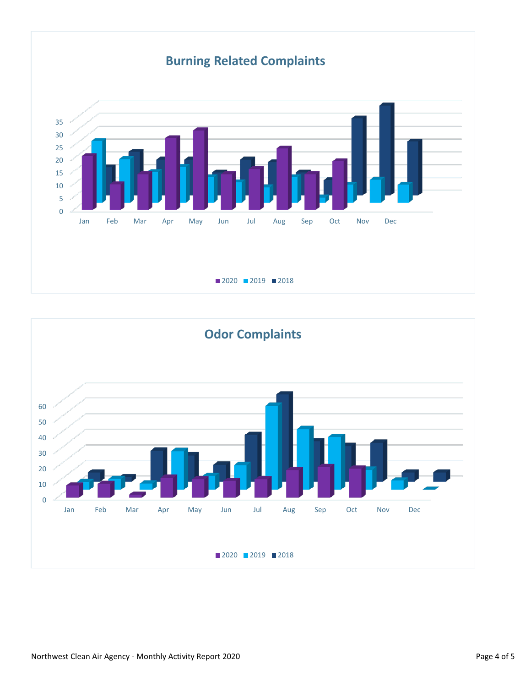